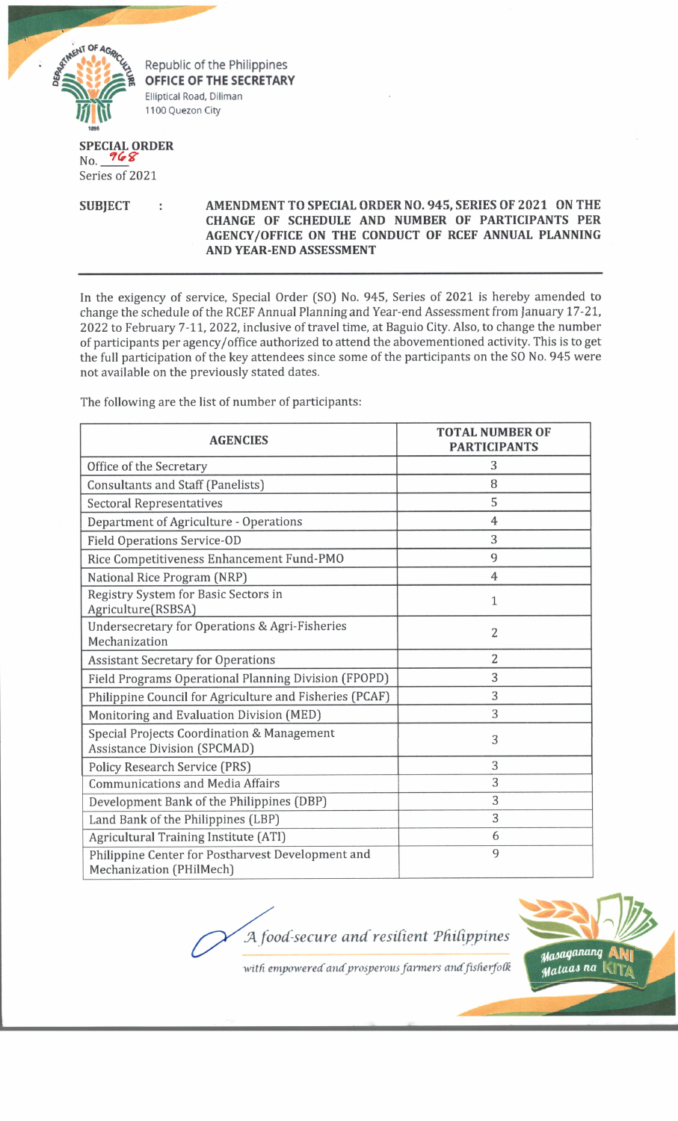

Republic of the Philippines **OFFICE OF THE SECRETARY** Elliptical Road, Diliman 1100 Quezon City

## **SPECIAL ORDER**  $No. 968$

Series of 2021

## **SUBJECT : AMENDMENT TO SPECIAL ORDER NO. 945, SERIES OF 2021 ON THE CHANGE OF SCHEDULE AND NUMBER OF PARTICIPANTS PER AGENCY/OFFICE ON THE CONDUCT OF RCEF ANNUAL PLANNING AND YEAR-END ASSESSMENT**

In the exigency of service, Special Order (SO) No. 945, Series of 2021 is hereby amended to change the schedule of the RCEF Annual Planning and Year-end Assessment from January 17-21, 2022 to February 7-11, 2022, inclusive of travel time, at Baguio City. Also, to change the number of participants per agency/office authorized to attend the abovementioned activity. This is to get the full participation of the key attendees since some of the participants on the SO No. 945 were not available on the previously stated dates.

| <b>AGENCIES</b>                                                                   | <b>TOTAL NUMBER OF</b><br><b>PARTICIPANTS</b> |
|-----------------------------------------------------------------------------------|-----------------------------------------------|
| Office of the Secretary                                                           | 3                                             |
| <b>Consultants and Staff (Panelists)</b>                                          | 8                                             |
| <b>Sectoral Representatives</b>                                                   | 5                                             |
| Department of Agriculture - Operations                                            | 4                                             |
| <b>Field Operations Service-OD</b>                                                | 3                                             |
| Rice Competitiveness Enhancement Fund-PMO                                         | 9                                             |
| National Rice Program (NRP)                                                       | 4                                             |
| Registry System for Basic Sectors in<br>Agriculture(RSBSA)                        | $\mathbf{1}$                                  |
| Undersecretary for Operations & Agri-Fisheries<br>Mechanization                   | $\overline{2}$                                |
| <b>Assistant Secretary for Operations</b>                                         | $\overline{2}$                                |
| Field Programs Operational Planning Division (FPOPD)                              | 3                                             |
| Philippine Council for Agriculture and Fisheries (PCAF)                           | 3                                             |
| Monitoring and Evaluation Division (MED)                                          | 3                                             |
| Special Projects Coordination & Management<br><b>Assistance Division (SPCMAD)</b> | 3                                             |
| <b>Policy Research Service (PRS)</b>                                              | 3                                             |
| <b>Communications and Media Affairs</b>                                           | 3                                             |
| Development Bank of the Philippines (DBP)                                         | 3                                             |
| Land Bank of the Philippines (LBP)                                                | 3                                             |
| Agricultural Training Institute (ATI)                                             | 6                                             |
| Philippine Center for Postharvest Development and<br>Mechanization (PHilMech)     | 9                                             |

The following are the list of number of participants:

*fA food-secure and resilient 'Philippines*



with empowered and prosperous farmers and fisherfolk